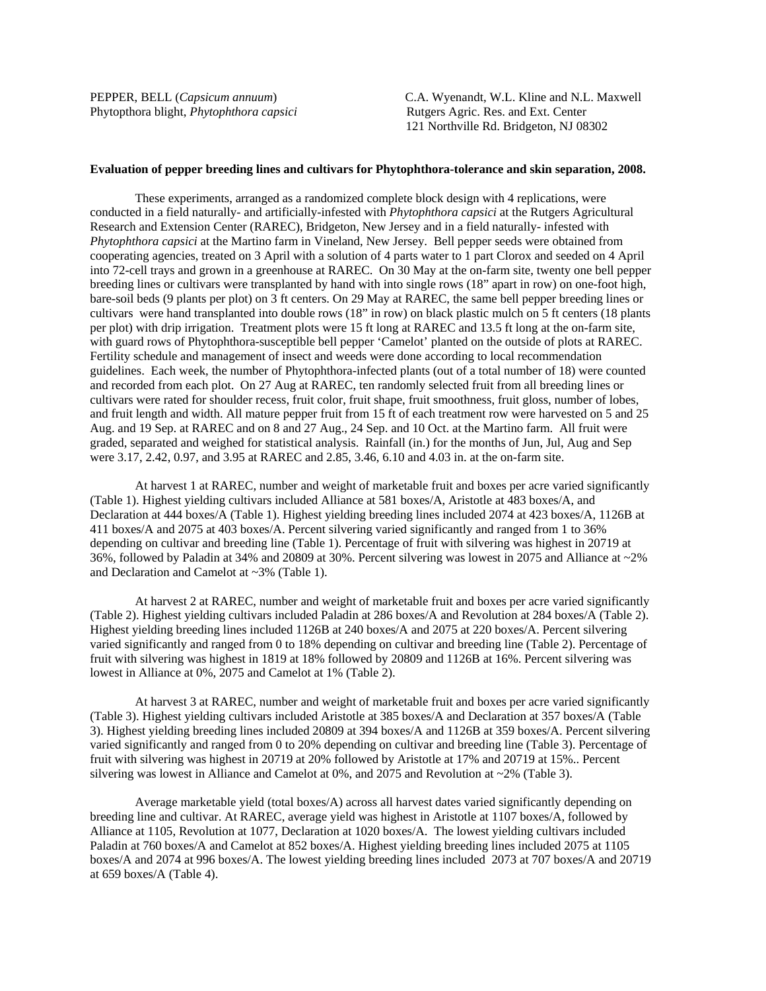Phytopthora blight, *Phytophthora capsici* Rutgers Agric. Res. and Ext. Center

PEPPER, BELL (*Capsicum annuum*) C.A. Wyenandt, W.L. Kline and N.L. Maxwell 121 Northville Rd. Bridgeton, NJ 08302

## **Evaluation of pepper breeding lines and cultivars for Phytophthora-tolerance and skin separation, 2008.**

 These experiments, arranged as a randomized complete block design with 4 replications, were conducted in a field naturally- and artificially-infested with *Phytophthora capsici* at the Rutgers Agricultural Research and Extension Center (RAREC), Bridgeton, New Jersey and in a field naturally- infested with *Phytophthora capsici* at the Martino farm in Vineland, New Jersey. Bell pepper seeds were obtained from cooperating agencies, treated on 3 April with a solution of 4 parts water to 1 part Clorox and seeded on 4 April into 72-cell trays and grown in a greenhouse at RAREC. On 30 May at the on-farm site, twenty one bell pepper breeding lines or cultivars were transplanted by hand with into single rows (18" apart in row) on one-foot high, bare-soil beds (9 plants per plot) on 3 ft centers. On 29 May at RAREC, the same bell pepper breeding lines or cultivars were hand transplanted into double rows (18" in row) on black plastic mulch on 5 ft centers (18 plants per plot) with drip irrigation. Treatment plots were 15 ft long at RAREC and 13.5 ft long at the on-farm site, with guard rows of Phytophthora-susceptible bell pepper 'Camelot' planted on the outside of plots at RAREC. Fertility schedule and management of insect and weeds were done according to local recommendation guidelines. Each week, the number of Phytophthora-infected plants (out of a total number of 18) were counted and recorded from each plot. On 27 Aug at RAREC, ten randomly selected fruit from all breeding lines or cultivars were rated for shoulder recess, fruit color, fruit shape, fruit smoothness, fruit gloss, number of lobes, and fruit length and width. All mature pepper fruit from 15 ft of each treatment row were harvested on 5 and 25 Aug. and 19 Sep. at RAREC and on 8 and 27 Aug., 24 Sep. and 10 Oct. at the Martino farm. All fruit were graded, separated and weighed for statistical analysis. Rainfall (in.) for the months of Jun, Jul, Aug and Sep were 3.17, 2.42, 0.97, and 3.95 at RAREC and 2.85, 3.46, 6.10 and 4.03 in. at the on-farm site.

At harvest 1 at RAREC, number and weight of marketable fruit and boxes per acre varied significantly (Table 1). Highest yielding cultivars included Alliance at 581 boxes/A, Aristotle at 483 boxes/A, and Declaration at 444 boxes/A (Table 1). Highest yielding breeding lines included 2074 at 423 boxes/A, 1126B at 411 boxes/A and 2075 at 403 boxes/A. Percent silvering varied significantly and ranged from 1 to 36% depending on cultivar and breeding line (Table 1). Percentage of fruit with silvering was highest in 20719 at 36%, followed by Paladin at 34% and 20809 at 30%. Percent silvering was lowest in 2075 and Alliance at ~2% and Declaration and Camelot at ~3% (Table 1).

At harvest 2 at RAREC, number and weight of marketable fruit and boxes per acre varied significantly (Table 2). Highest yielding cultivars included Paladin at 286 boxes/A and Revolution at 284 boxes/A (Table 2). Highest yielding breeding lines included 1126B at 240 boxes/A and 2075 at 220 boxes/A. Percent silvering varied significantly and ranged from 0 to 18% depending on cultivar and breeding line (Table 2). Percentage of fruit with silvering was highest in 1819 at 18% followed by 20809 and 1126B at 16%. Percent silvering was lowest in Alliance at 0%, 2075 and Camelot at 1% (Table 2).

At harvest 3 at RAREC, number and weight of marketable fruit and boxes per acre varied significantly (Table 3). Highest yielding cultivars included Aristotle at 385 boxes/A and Declaration at 357 boxes/A (Table 3). Highest yielding breeding lines included 20809 at 394 boxes/A and 1126B at 359 boxes/A. Percent silvering varied significantly and ranged from 0 to 20% depending on cultivar and breeding line (Table 3). Percentage of fruit with silvering was highest in 20719 at 20% followed by Aristotle at 17% and 20719 at 15%.. Percent silvering was lowest in Alliance and Camelot at  $0\%$ , and  $2075$  and Revolution at  $\sim$ 2% (Table 3).

Average marketable yield (total boxes/A) across all harvest dates varied significantly depending on breeding line and cultivar. At RAREC, average yield was highest in Aristotle at 1107 boxes/A, followed by Alliance at 1105, Revolution at 1077, Declaration at 1020 boxes/A. The lowest yielding cultivars included Paladin at 760 boxes/A and Camelot at 852 boxes/A. Highest yielding breeding lines included 2075 at 1105 boxes/A and 2074 at 996 boxes/A. The lowest yielding breeding lines included 2073 at 707 boxes/A and 20719 at 659 boxes/A (Table 4).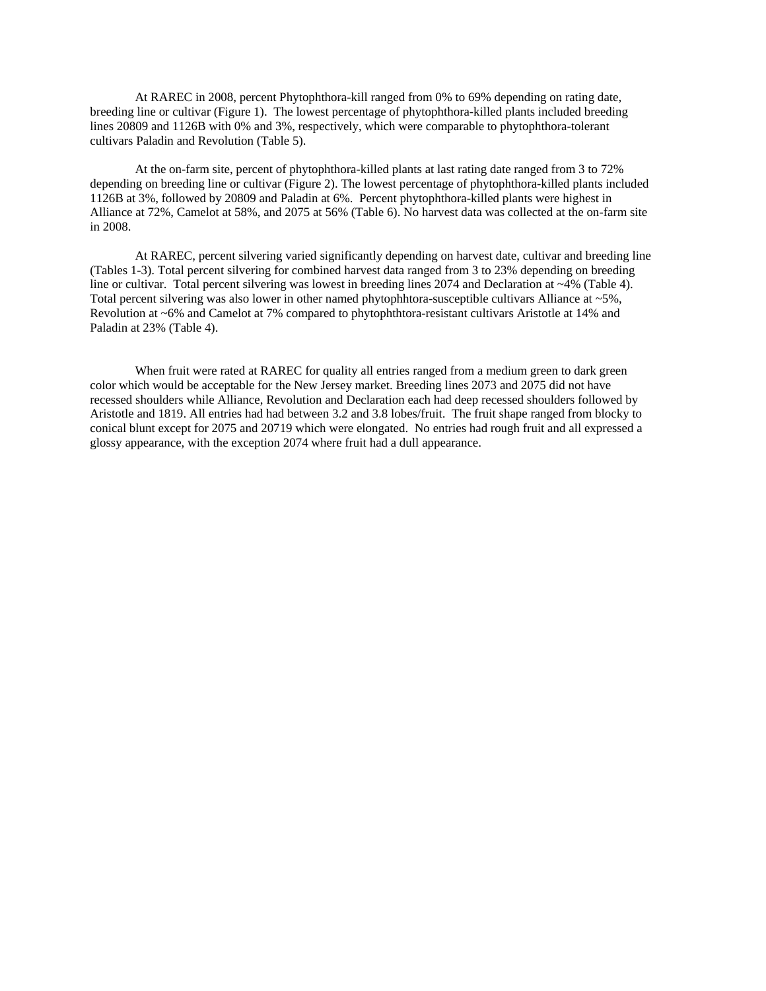At RAREC in 2008, percent Phytophthora-kill ranged from 0% to 69% depending on rating date, breeding line or cultivar (Figure 1). The lowest percentage of phytophthora-killed plants included breeding lines 20809 and 1126B with 0% and 3%, respectively, which were comparable to phytophthora-tolerant cultivars Paladin and Revolution (Table 5).

At the on-farm site, percent of phytophthora-killed plants at last rating date ranged from 3 to 72% depending on breeding line or cultivar (Figure 2). The lowest percentage of phytophthora-killed plants included 1126B at 3%, followed by 20809 and Paladin at 6%. Percent phytophthora-killed plants were highest in Alliance at 72%, Camelot at 58%, and 2075 at 56% (Table 6). No harvest data was collected at the on-farm site in 2008.

At RAREC, percent silvering varied significantly depending on harvest date, cultivar and breeding line (Tables 1-3). Total percent silvering for combined harvest data ranged from 3 to 23% depending on breeding line or cultivar. Total percent silvering was lowest in breeding lines 2074 and Declaration at ~4% (Table 4). Total percent silvering was also lower in other named phytophhtora-susceptible cultivars Alliance at ~5%, Revolution at ~6% and Camelot at 7% compared to phytophthtora-resistant cultivars Aristotle at 14% and Paladin at 23% (Table 4).

When fruit were rated at RAREC for quality all entries ranged from a medium green to dark green color which would be acceptable for the New Jersey market. Breeding lines 2073 and 2075 did not have recessed shoulders while Alliance, Revolution and Declaration each had deep recessed shoulders followed by Aristotle and 1819. All entries had had between 3.2 and 3.8 lobes/fruit. The fruit shape ranged from blocky to conical blunt except for 2075 and 20719 which were elongated. No entries had rough fruit and all expressed a glossy appearance, with the exception 2074 where fruit had a dull appearance.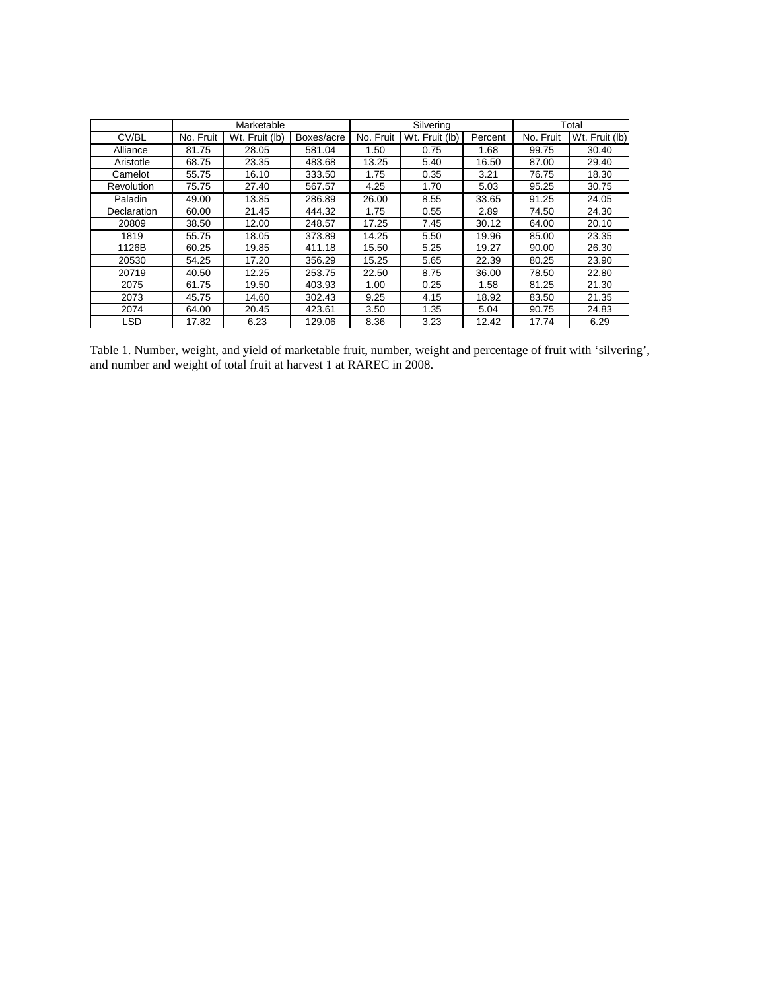|             |           | Marketable     |            |           | Silvering      | Total   |           |                |  |
|-------------|-----------|----------------|------------|-----------|----------------|---------|-----------|----------------|--|
| CV/BL       | No. Fruit | Wt. Fruit (lb) | Boxes/acre | No. Fruit | Wt. Fruit (lb) | Percent | No. Fruit | Wt. Fruit (lb) |  |
| Alliance    | 81.75     | 28.05          | 581.04     | 1.50      | 0.75           | 1.68    | 99.75     | 30.40          |  |
| Aristotle   | 68.75     | 23.35          | 483.68     | 13.25     | 5.40           | 16.50   | 87.00     | 29.40          |  |
| Camelot     | 55.75     | 16.10          | 333.50     | 1.75      | 0.35           | 3.21    | 76.75     | 18.30          |  |
| Revolution  | 75.75     | 27.40          | 567.57     | 4.25      | 1.70           | 5.03    | 95.25     | 30.75          |  |
| Paladin     | 49.00     | 13.85          | 286.89     | 26.00     | 8.55           | 33.65   | 91.25     | 24.05          |  |
| Declaration | 60.00     | 21.45          | 444.32     | 1.75      | 0.55           | 2.89    | 74.50     | 24.30          |  |
| 20809       | 38.50     | 12.00          | 248.57     | 17.25     | 7.45           | 30.12   | 64.00     | 20.10          |  |
| 1819        | 55.75     | 18.05          | 373.89     | 14.25     | 5.50           | 19.96   | 85.00     | 23.35          |  |
| 1126B       | 60.25     | 19.85          | 411.18     | 15.50     | 5.25           | 19.27   | 90.00     | 26.30          |  |
| 20530       | 54.25     | 17.20          | 356.29     | 15.25     | 5.65           | 22.39   | 80.25     | 23.90          |  |
| 20719       | 40.50     | 12.25          | 253.75     | 22.50     | 8.75           | 36.00   | 78.50     | 22.80          |  |
| 2075        | 61.75     | 19.50          | 403.93     | 1.00      | 0.25           | 1.58    | 81.25     | 21.30          |  |
| 2073        | 45.75     | 14.60          | 302.43     | 9.25      | 4.15           | 18.92   | 83.50     | 21.35          |  |
| 2074        | 64.00     | 20.45          | 423.61     | 3.50      | 1.35           | 5.04    | 90.75     | 24.83          |  |
| <b>LSD</b>  | 17.82     | 6.23           | 129.06     | 8.36      | 3.23           | 12.42   | 17.74     | 6.29           |  |

Table 1. Number, weight, and yield of marketable fruit, number, weight and percentage of fruit with 'silvering', and number and weight of total fruit at harvest 1 at RAREC in 2008.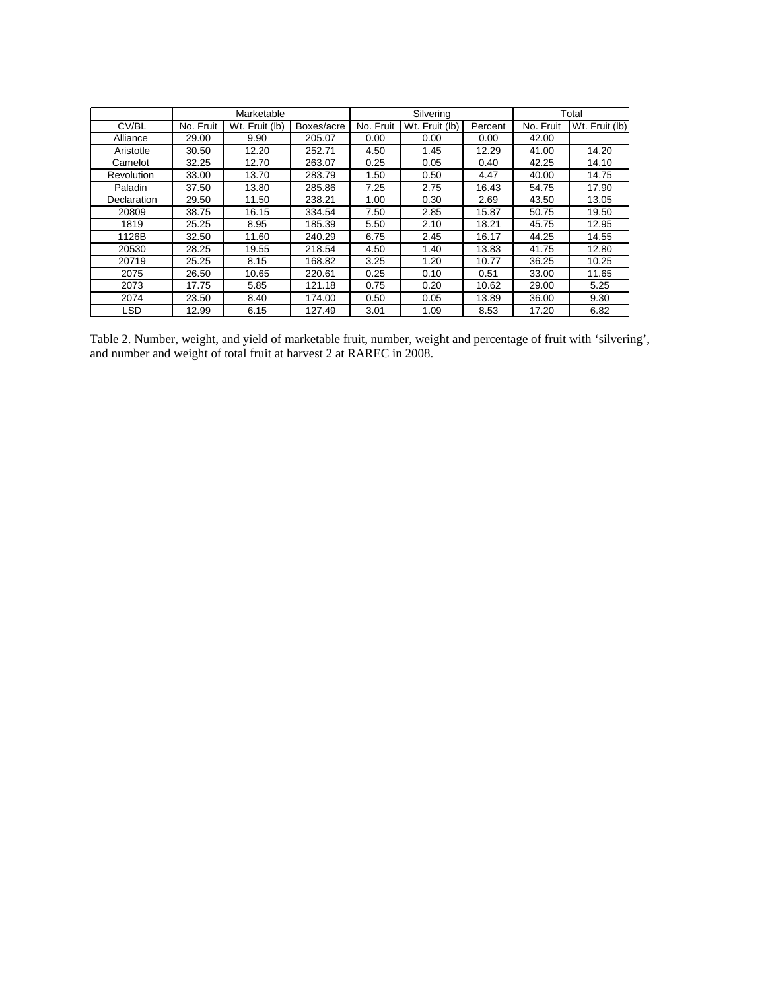|             |           | Marketable     |            |           | Silvering      |         |           | Total          |
|-------------|-----------|----------------|------------|-----------|----------------|---------|-----------|----------------|
| CV/BL       | No. Fruit | Wt. Fruit (lb) | Boxes/acre | No. Fruit | Wt. Fruit (lb) | Percent | No. Fruit | Wt. Fruit (lb) |
| Alliance    | 29.00     | 9.90           | 205.07     | 0.00      | 0.00           | 0.00    | 42.00     |                |
| Aristotle   | 30.50     | 12.20          | 252.71     | 4.50      | 1.45           | 12.29   | 41.00     | 14.20          |
| Camelot     | 32.25     | 12.70          | 263.07     | 0.25      | 0.05           | 0.40    | 42.25     | 14.10          |
| Revolution  | 33.00     | 13.70          | 283.79     | 1.50      | 0.50           | 4.47    | 40.00     | 14.75          |
| Paladin     | 37.50     | 13.80          | 285.86     | 7.25      | 2.75           | 16.43   | 54.75     | 17.90          |
| Declaration | 29.50     | 11.50          | 238.21     | 1.00      | 0.30           | 2.69    | 43.50     | 13.05          |
| 20809       | 38.75     | 16.15          | 334.54     | 7.50      | 2.85           | 15.87   | 50.75     | 19.50          |
| 1819        | 25.25     | 8.95           | 185.39     | 5.50      | 2.10           | 18.21   | 45.75     | 12.95          |
| 1126B       | 32.50     | 11.60          | 240.29     | 6.75      | 2.45           | 16.17   | 44.25     | 14.55          |
| 20530       | 28.25     | 19.55          | 218.54     | 4.50      | 1.40           | 13.83   | 41.75     | 12.80          |
| 20719       | 25.25     | 8.15           | 168.82     | 3.25      | 1.20           | 10.77   | 36.25     | 10.25          |
| 2075        | 26.50     | 10.65          | 220.61     | 0.25      | 0.10           | 0.51    | 33.00     | 11.65          |
| 2073        | 17.75     | 5.85           | 121.18     | 0.75      | 0.20           | 10.62   | 29.00     | 5.25           |
| 2074        | 23.50     | 8.40           | 174.00     | 0.50      | 0.05           | 13.89   | 36.00     | 9.30           |
| LSD         | 12.99     | 6.15           | 127.49     | 3.01      | 1.09           | 8.53    | 17.20     | 6.82           |

Table 2. Number, weight, and yield of marketable fruit, number, weight and percentage of fruit with 'silvering', and number and weight of total fruit at harvest 2 at RAREC in 2008.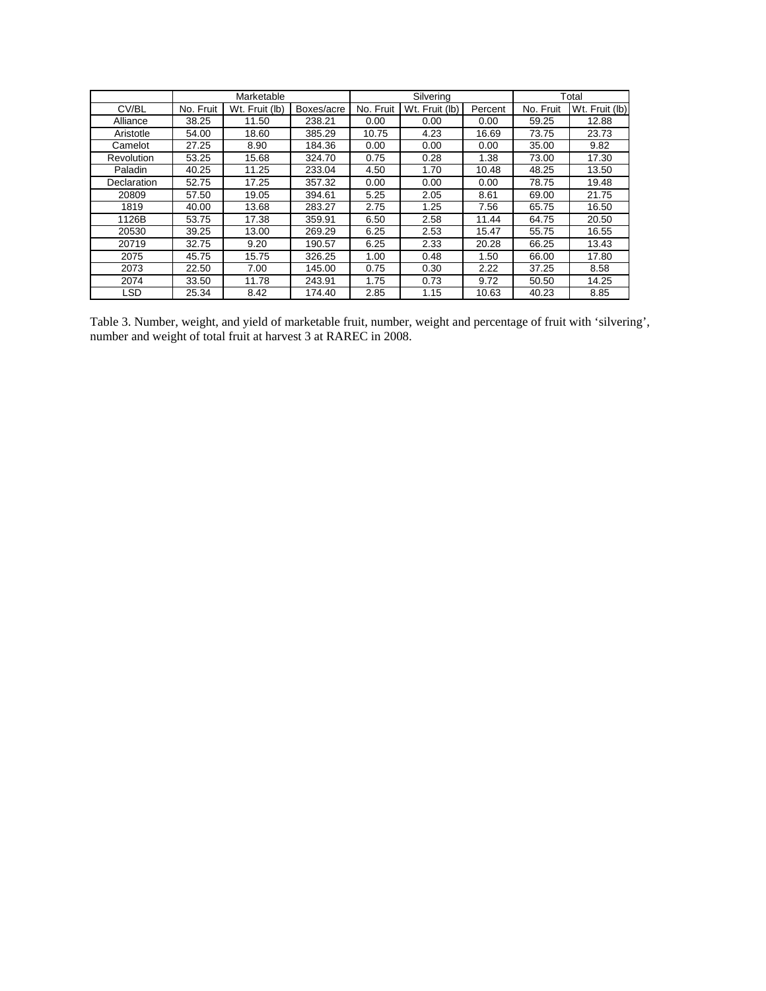|             |           | Marketable     |            |           | Silvering      | Total   |           |                |  |
|-------------|-----------|----------------|------------|-----------|----------------|---------|-----------|----------------|--|
| CV/BL       | No. Fruit | Wt. Fruit (lb) | Boxes/acre | No. Fruit | Wt. Fruit (lb) | Percent | No. Fruit | Wt. Fruit (lb) |  |
| Alliance    | 38.25     | 11.50          | 238.21     | 0.00      | 0.00           | 0.00    | 59.25     | 12.88          |  |
| Aristotle   | 54.00     | 18.60          | 385.29     | 10.75     | 4.23           | 16.69   | 73.75     | 23.73          |  |
| Camelot     | 27.25     | 8.90           | 184.36     | 0.00      | 0.00           | 0.00    | 35.00     | 9.82           |  |
| Revolution  | 53.25     | 15.68          | 324.70     | 0.75      | 0.28           | 1.38    | 73.00     | 17.30          |  |
| Paladin     | 40.25     | 11.25          | 233.04     | 4.50      | 1.70           | 10.48   | 48.25     | 13.50          |  |
| Declaration | 52.75     | 17.25          | 357.32     | 0.00      | 0.00           | 0.00    | 78.75     | 19.48          |  |
| 20809       | 57.50     | 19.05          | 394.61     | 5.25      | 2.05           | 8.61    | 69.00     | 21.75          |  |
| 1819        | 40.00     | 13.68          | 283.27     | 2.75      | 1.25           | 7.56    | 65.75     | 16.50          |  |
| 1126B       | 53.75     | 17.38          | 359.91     | 6.50      | 2.58           | 11.44   | 64.75     | 20.50          |  |
| 20530       | 39.25     | 13.00          | 269.29     | 6.25      | 2.53           | 15.47   | 55.75     | 16.55          |  |
| 20719       | 32.75     | 9.20           | 190.57     | 6.25      | 2.33           | 20.28   | 66.25     | 13.43          |  |
| 2075        | 45.75     | 15.75          | 326.25     | 1.00      | 0.48           | 1.50    | 66.00     | 17.80          |  |
| 2073        | 22.50     | 7.00           | 145.00     | 0.75      | 0.30           | 2.22    | 37.25     | 8.58           |  |
| 2074        | 33.50     | 11.78          | 243.91     | 1.75      | 0.73           | 9.72    | 50.50     | 14.25          |  |
| <b>LSD</b>  | 25.34     | 8.42           | 174.40     | 2.85      | 1.15           | 10.63   | 40.23     | 8.85           |  |

Table 3. Number, weight, and yield of marketable fruit, number, weight and percentage of fruit with 'silvering', number and weight of total fruit at harvest 3 at RAREC in 2008.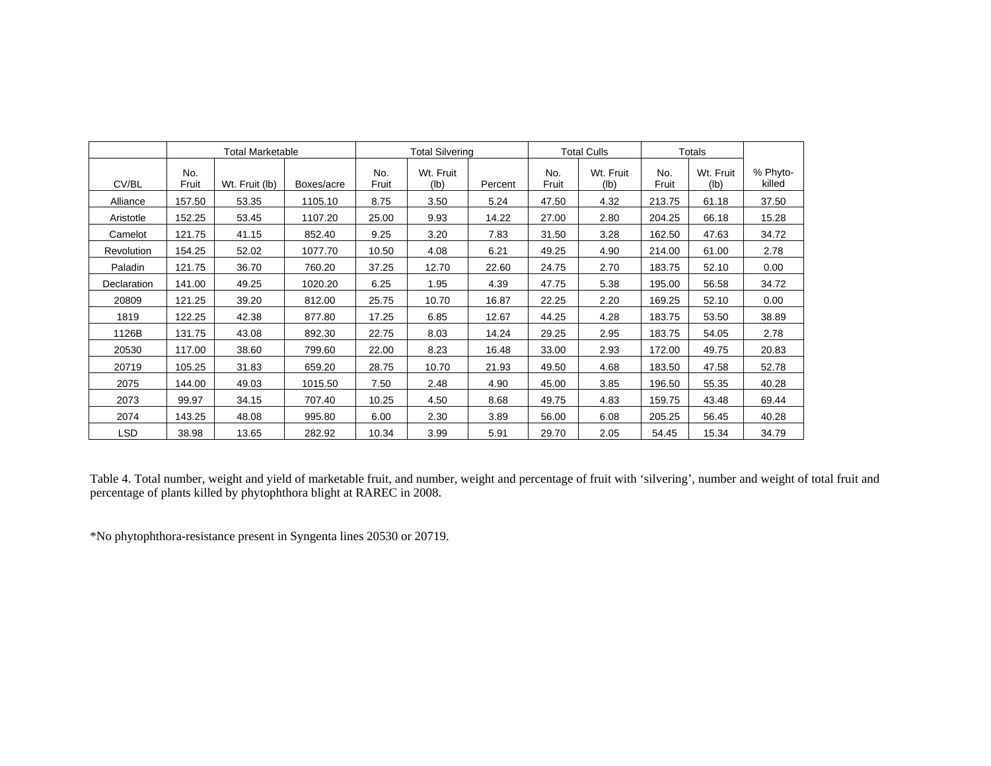|             |              | <b>Total Marketable</b> |            |              | <b>Total Silvering</b> |         |              | <b>Total Culls</b> |              | Totals            |                    |
|-------------|--------------|-------------------------|------------|--------------|------------------------|---------|--------------|--------------------|--------------|-------------------|--------------------|
| CV/BL       | No.<br>Fruit | Wt. Fruit (lb)          | Boxes/acre | No.<br>Fruit | Wt. Fruit<br>(lb)      | Percent | No.<br>Fruit | Wt. Fruit<br>(Ib)  | No.<br>Fruit | Wt. Fruit<br>(lb) | % Phyto-<br>killed |
| Alliance    | 157.50       | 53.35                   | 1105.10    | 8.75         | 3.50                   | 5.24    | 47.50        | 4.32               | 213.75       | 61.18             | 37.50              |
| Aristotle   | 152.25       | 53.45                   | 1107.20    | 25.00        | 9.93                   | 14.22   | 27.00        | 2.80               | 204.25       | 66.18             | 15.28              |
| Camelot     | 121.75       | 41.15                   | 852.40     | 9.25         | 3.20                   | 7.83    | 31.50        | 3.28               | 162.50       | 47.63             | 34.72              |
| Revolution  | 154.25       | 52.02                   | 1077.70    | 10.50        | 4.08                   | 6.21    | 49.25        | 4.90               | 214.00       | 61.00             | 2.78               |
| Paladin     | 121.75       | 36.70                   | 760.20     | 37.25        | 12.70                  | 22.60   | 24.75        | 2.70               | 183.75       | 52.10             | 0.00               |
| Declaration | 141.00       | 49.25                   | 1020.20    | 6.25         | 1.95                   | 4.39    | 47.75        | 5.38               | 195.00       | 56.58             | 34.72              |
| 20809       | 121.25       | 39.20                   | 812.00     | 25.75        | 10.70                  | 16.87   | 22.25        | 2.20               | 169.25       | 52.10             | 0.00               |
| 1819        | 122.25       | 42.38                   | 877.80     | 17.25        | 6.85                   | 12.67   | 44.25        | 4.28               | 183.75       | 53.50             | 38.89              |
| 1126B       | 131.75       | 43.08                   | 892.30     | 22.75        | 8.03                   | 14.24   | 29.25        | 2.95               | 183.75       | 54.05             | 2.78               |
| 20530       | 117.00       | 38.60                   | 799.60     | 22.00        | 8.23                   | 16.48   | 33.00        | 2.93               | 172.00       | 49.75             | 20.83              |
| 20719       | 105.25       | 31.83                   | 659.20     | 28.75        | 10.70                  | 21.93   | 49.50        | 4.68               | 183.50       | 47.58             | 52.78              |
| 2075        | 144.00       | 49.03                   | 1015.50    | 7.50         | 2.48                   | 4.90    | 45.00        | 3.85               | 196.50       | 55.35             | 40.28              |
| 2073        | 99.97        | 34.15                   | 707.40     | 10.25        | 4.50                   | 8.68    | 49.75        | 4.83               | 159.75       | 43.48             | 69.44              |
| 2074        | 143.25       | 48.08                   | 995.80     | 6.00         | 2.30                   | 3.89    | 56.00        | 6.08               | 205.25       | 56.45             | 40.28              |
| LSD         | 38.98        | 13.65                   | 282.92     | 10.34        | 3.99                   | 5.91    | 29.70        | 2.05               | 54.45        | 15.34             | 34.79              |

Table 4. Total number, weight and yield of marketable fruit, and number, weight and percentage of fruit with 'silvering', number and weight of total fruit and percentage of plants killed by phytophthora blight at RAREC in 2008.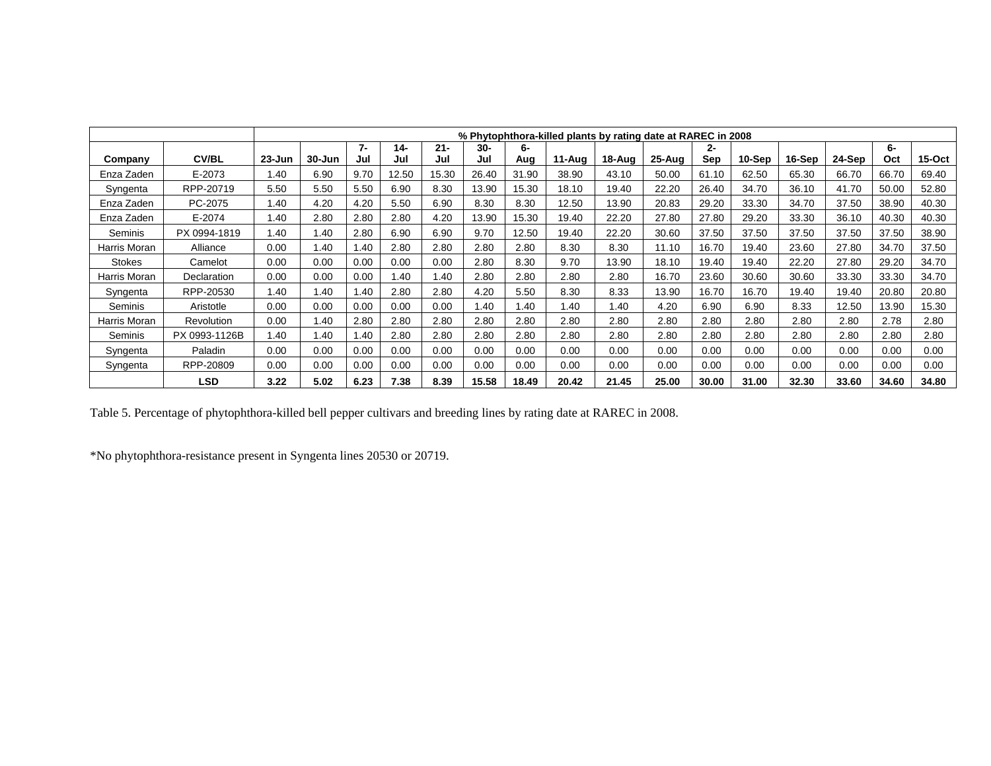|               |               |            |        |      |       |        |       |       |        | % Phytophthora-killed plants by rating date at RAREC in 2008 |        |       |        |        |        |       |           |
|---------------|---------------|------------|--------|------|-------|--------|-------|-------|--------|--------------------------------------------------------------|--------|-------|--------|--------|--------|-------|-----------|
|               |               |            |        | 7-   | 14-   | $21 -$ | 30-   | 6-    |        |                                                              |        | 2-    |        |        |        | 6-    |           |
| Company       | <b>CV/BL</b>  | $23 - Jun$ | 30-Jun | Jul  | Jul   | Jul    | Jul   | Aug   | 11-Aug | 18-Aug                                                       | 25-Aug | Sep   | 10-Sep | 16-Sep | 24-Sep | Oct   | $15$ -Oct |
| Enza Zaden    | E-2073        | 1.40       | 6.90   | 9.70 | 12.50 | 15.30  | 26.40 | 31.90 | 38.90  | 43.10                                                        | 50.00  | 61.10 | 62.50  | 65.30  | 66.70  | 66.70 | 69.40     |
| Syngenta      | RPP-20719     | 5.50       | 5.50   | 5.50 | 6.90  | 8.30   | 13.90 | 15.30 | 18.10  | 19.40                                                        | 22.20  | 26.40 | 34.70  | 36.10  | 41.70  | 50.00 | 52.80     |
| Enza Zaden    | PC-2075       | 1.40       | 4.20   | 4.20 | 5.50  | 6.90   | 8.30  | 8.30  | 12.50  | 13.90                                                        | 20.83  | 29.20 | 33.30  | 34.70  | 37.50  | 38.90 | 40.30     |
| Enza Zaden    | $E - 2074$    | 1.40       | 2.80   | 2.80 | 2.80  | 4.20   | 13.90 | 15.30 | 19.40  | 22.20                                                        | 27.80  | 27.80 | 29.20  | 33.30  | 36.10  | 40.30 | 40.30     |
| Seminis       | PX 0994-1819  | 1.40       | 1.40   | 2.80 | 6.90  | 6.90   | 9.70  | 12.50 | 19.40  | 22.20                                                        | 30.60  | 37.50 | 37.50  | 37.50  | 37.50  | 37.50 | 38.90     |
| Harris Moran  | Alliance      | 0.00       | 1.40   | .40  | 2.80  | 2.80   | 2.80  | 2.80  | 8.30   | 8.30                                                         | 11.10  | 16.70 | 19.40  | 23.60  | 27.80  | 34.70 | 37.50     |
| <b>Stokes</b> | Camelot       | 0.00       | 0.00   | 0.00 | 0.00  | 0.00   | 2.80  | 8.30  | 9.70   | 13.90                                                        | 18.10  | 19.40 | 19.40  | 22.20  | 27.80  | 29.20 | 34.70     |
| Harris Moran  | Declaration   | 0.00       | 0.00   | 0.00 | .40   | 1.40   | 2.80  | 2.80  | 2.80   | 2.80                                                         | 16.70  | 23.60 | 30.60  | 30.60  | 33.30  | 33.30 | 34.70     |
| Syngenta      | RPP-20530     | 1.40       | .40    | .40  | 2.80  | 2.80   | 4.20  | 5.50  | 8.30   | 8.33                                                         | 13.90  | 16.70 | 16.70  | 19.40  | 19.40  | 20.80 | 20.80     |
| Seminis       | Aristotle     | 0.00       | 0.00   | 0.00 | 0.00  | 0.00   | .40   | 1.40  | 1.40   | 1.40                                                         | 4.20   | 6.90  | 6.90   | 8.33   | 12.50  | 13.90 | 15.30     |
| Harris Moran  | Revolution    | 0.00       | 1.40   | 2.80 | 2.80  | 2.80   | 2.80  | 2.80  | 2.80   | 2.80                                                         | 2.80   | 2.80  | 2.80   | 2.80   | 2.80   | 2.78  | 2.80      |
| Seminis       | PX 0993-1126B | 1.40       | 1.40   | .40  | 2.80  | 2.80   | 2.80  | 2.80  | 2.80   | 2.80                                                         | 2.80   | 2.80  | 2.80   | 2.80   | 2.80   | 2.80  | 2.80      |
| Syngenta      | Paladin       | 0.00       | 0.00   | 0.00 | 0.00  | 0.00   | 0.00  | 0.00  | 0.00   | 0.00                                                         | 0.00   | 0.00  | 0.00   | 0.00   | 0.00   | 0.00  | 0.00      |
| Syngenta      | RPP-20809     | 0.00       | 0.00   | 0.00 | 0.00  | 0.00   | 0.00  | 0.00  | 0.00   | 0.00                                                         | 0.00   | 0.00  | 0.00   | 0.00   | 0.00   | 0.00  | 0.00      |
|               | <b>LSD</b>    | 3.22       | 5.02   | 6.23 | 7.38  | 8.39   | 15.58 | 18.49 | 20.42  | 21.45                                                        | 25.00  | 30.00 | 31.00  | 32.30  | 33.60  | 34.60 | 34.80     |

Table 5. Percentage of phytophthora-killed bell pepper cultivars and breeding lines by rating date at RAREC in 2008.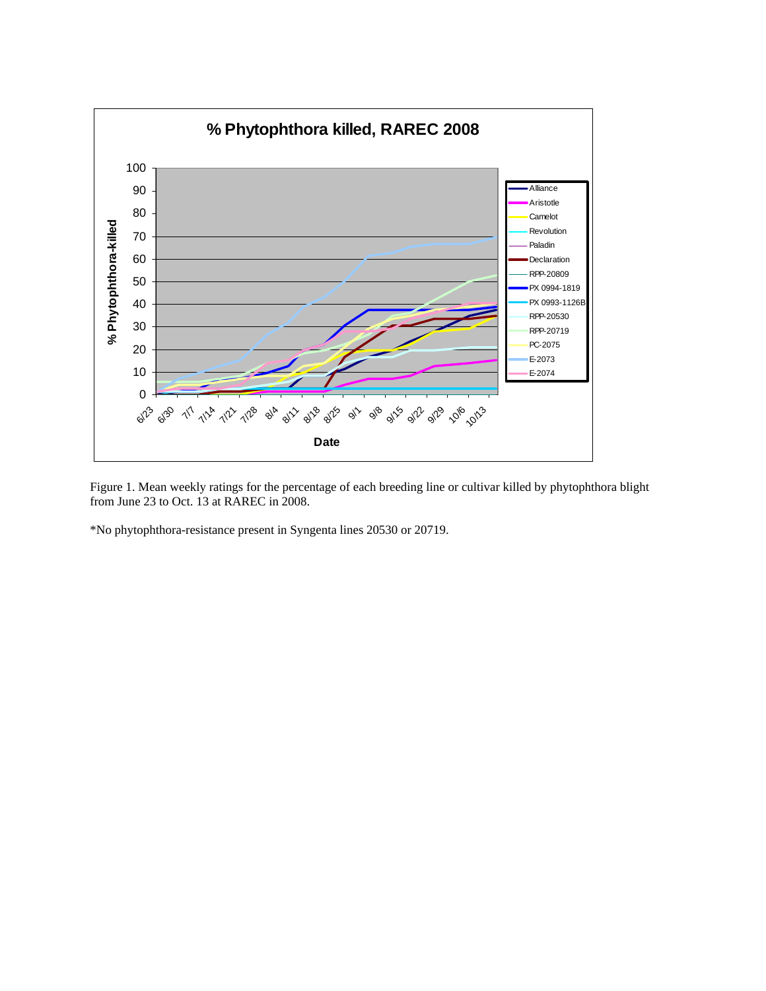

Figure 1. Mean weekly ratings for the percentage of each breeding line or cultivar killed by phytophthora blight from June 23 to Oct. 13 at RAREC in 2008.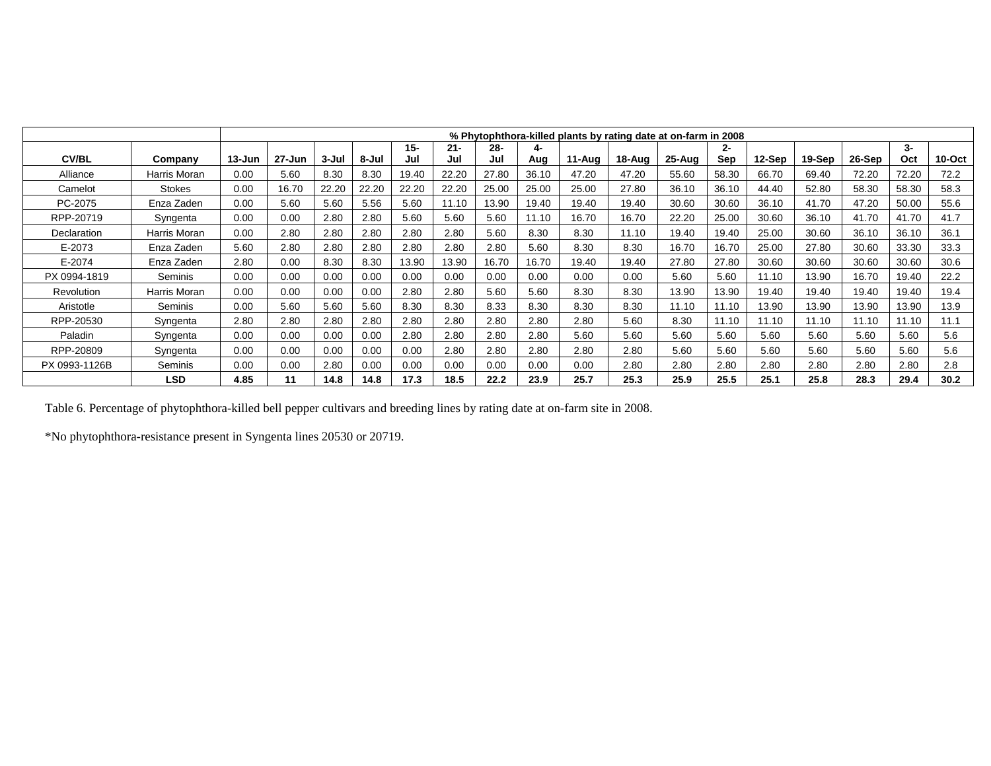|               |                |            |        |       |       |        |        |        |       |        | % Phytophthora-killed plants by rating date at on-farm in 2008 |            |       |        |        |        |       |           |
|---------------|----------------|------------|--------|-------|-------|--------|--------|--------|-------|--------|----------------------------------------------------------------|------------|-------|--------|--------|--------|-------|-----------|
|               |                |            |        |       |       | $15 -$ | $21 -$ | $28 -$ | 4-    |        |                                                                |            | 2-    |        |        |        | 3-    |           |
| <b>CV/BL</b>  | Company        | $13 - Jun$ | 27-Jun | 3-Jul | 8-Jul | Jul    | Jul    | Jul    | Aua   | 11-Aug | 18-Aug                                                         | $25 - Aug$ | Sep   | 12-Sep | 19-Sep | 26-Sep | Oct   | $10$ -Oct |
| Alliance      | Harris Moran   | 0.00       | 5.60   | 8.30  | 8.30  | 19.40  | 22.20  | 27.80  | 36.10 | 47.20  | 47.20                                                          | 55.60      | 58.30 | 66.70  | 69.40  | 72.20  | 72.20 | 72.2      |
| Camelot       | Stokes         | 0.00       | 16.70  | 22.20 | 22.20 | 22.20  | 22.20  | 25.00  | 25.00 | 25.00  | 27.80                                                          | 36.10      | 36.10 | 44.40  | 52.80  | 58.30  | 58.30 | 58.3      |
| PC-2075       | Enza Zaden     | 0.00       | 5.60   | 5.60  | 5.56  | 5.60   | 11.10  | 13.90  | 19.40 | 19.40  | 19.40                                                          | 30.60      | 30.60 | 36.10  | 41.70  | 47.20  | 50.00 | 55.6      |
| RPP-20719     | Syngenta       | 0.00       | 0.00   | 2.80  | 2.80  | 5.60   | 5.60   | 5.60   | 11.10 | 16.70  | 16.70                                                          | 22.20      | 25.00 | 30.60  | 36.10  | 41.70  | 41.70 | 41.7      |
| Declaration   | Harris Moran   | 0.00       | 2.80   | 2.80  | 2.80  | 2.80   | 2.80   | 5.60   | 8.30  | 8.30   | 11.10                                                          | 19.40      | 19.40 | 25.00  | 30.60  | 36.10  | 36.10 | 36.1      |
| E-2073        | Enza Zaden     | 5.60       | 2.80   | 2.80  | 2.80  | 2.80   | 2.80   | 2.80   | 5.60  | 8.30   | 8.30                                                           | 16.70      | 16.70 | 25.00  | 27.80  | 30.60  | 33.30 | 33.3      |
| E-2074        | Enza Zaden     | 2.80       | 0.00   | 8.30  | 8.30  | 13.90  | 13.90  | 16.70  | 16.70 | 19.40  | 19.40                                                          | 27.80      | 27.80 | 30.60  | 30.60  | 30.60  | 30.60 | 30.6      |
| PX 0994-1819  | <b>Seminis</b> | 0.00       | 0.00   | 0.00  | 0.00  | 0.00   | 0.00   | 0.00   | 0.00  | 0.00   | 0.00                                                           | 5.60       | 5.60  | 11.10  | 13.90  | 16.70  | 19.40 | 22.2      |
| Revolution    | Harris Moran   | 0.00       | 0.00   | 0.00  | 0.00  | 2.80   | 2.80   | 5.60   | 5.60  | 8.30   | 8.30                                                           | 13.90      | 13.90 | 19.40  | 19.40  | 19.40  | 19.40 | 19.4      |
| Aristotle     | Seminis        | 0.00       | 5.60   | 5.60  | 5.60  | 8.30   | 8.30   | 8.33   | 8.30  | 8.30   | 8.30                                                           | 11.10      | 11.10 | 13.90  | 13.90  | 13.90  | 13.90 | 13.9      |
| RPP-20530     | Syngenta       | 2.80       | 2.80   | 2.80  | 2.80  | 2.80   | 2.80   | 2.80   | 2.80  | 2.80   | 5.60                                                           | 8.30       | 11.10 | 11.10  | 11.10  | 11.10  | 11.10 | 11.1      |
| Paladin       | Syngenta       | 0.00       | 0.00   | 0.00  | 0.00  | 2.80   | 2.80   | 2.80   | 2.80  | 5.60   | 5.60                                                           | 5.60       | 5.60  | 5.60   | 5.60   | 5.60   | 5.60  | 5.6       |
| RPP-20809     | Syngenta       | 0.00       | 0.00   | 0.00  | 0.00  | 0.00   | 2.80   | 2.80   | 2.80  | 2.80   | 2.80                                                           | 5.60       | 5.60  | 5.60   | 5.60   | 5.60   | 5.60  | 5.6       |
| PX 0993-1126B | Seminis        | 0.00       | 0.00   | 2.80  | 0.00  | 0.00   | 0.00   | 0.00   | 0.00  | 0.00   | 2.80                                                           | 2.80       | 2.80  | 2.80   | 2.80   | 2.80   | 2.80  | 2.8       |
|               | LSD            | 4.85       | 11     | 14.8  | 14.8  | 17.3   | 18.5   | 22.2   | 23.9  | 25.7   | 25.3                                                           | 25.9       | 25.5  | 25.1   | 25.8   | 28.3   | 29.4  | 30.2      |

Table 6. Percentage of phytophthora-killed bell pepper cultivars and breeding lines by rating date at on-farm site in 2008.